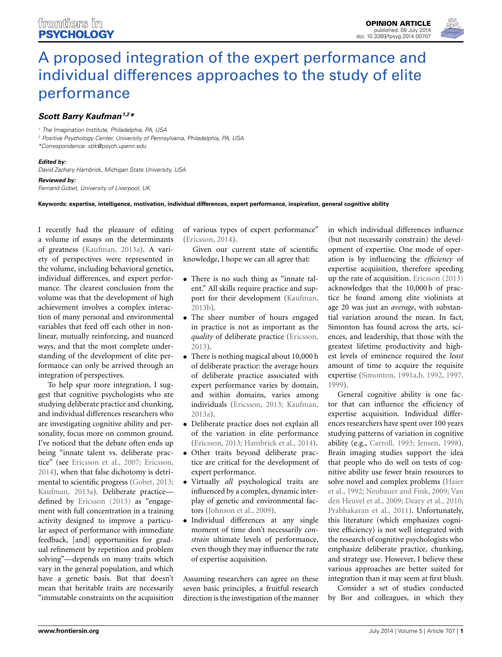

## *[Scott Barry Kaufman](http://community.frontiersin.org/people/u/78881)1,2\**

*<sup>1</sup> The Imagination Institute, Philadelphia, PA, USA*

*<sup>2</sup> Positive Psychology Center, University of Pennsylvania, Philadelphia, PA, USA*

*\*Correspondence: [sbk@psych.upenn.edu](mailto:sbk@psych.upenn.edu)*

*Edited by:*

*David Zachary Hambrick, Michigan State University, USA*

*Reviewed by:*

*Fernand Gobet, University of Liverpool, UK*

## **Keywords: expertise, intelligence, motivation, individual differences, expert performance, inspiration, general cognitive ability**

I recently had the pleasure of editing a volume of essays on the determinants of greatness [\(Kaufman](#page-2-0), [2013a\)](#page-2-0). A variety of perspectives were represented in the volume, including behavioral genetics, individual differences, and expert performance. The clearest conclusion from the volume was that the development of high achievement involves a complex interaction of many personal and environmental variables that feed off each other in nonlinear, mutually reinforcing, and nuanced ways, and that the most complete understanding of the development of elite performance can only be arrived through an integration of perspectives.

To help spur more integration, I suggest that cognitive psychologists who are studying deliberate practice and chunking, and individual differences researchers who are investigating cognitive ability and personality, focus more on common ground. I've noticed that the debate often ends up being "innate talent vs. deliberate practice" (see [Ericsson et al., 2007](#page-2-1); [Ericsson,](#page-2-2) [2014](#page-2-2)), when that false dichotomy is detrimental to scientific progress [\(Gobet, 2013;](#page-2-3) [Kaufman](#page-2-0), [2013a](#page-2-0)). Deliberate practice defined by [Ericsson](#page-2-4) [\(2013\)](#page-2-4) as "engagement with full concentration in a training activity designed to improve a particular aspect of performance with immediate feedback, [and] opportunities for gradual refinement by repetition and problem solving"—depends on many traits which vary in the general population, and which have a genetic basis. But that doesn't mean that heritable traits are necessarily "immutable constraints on the acquisition

of various types of expert performance" [\(Ericsson, 2014\)](#page-2-2).

Given our current state of scientific knowledge, I hope we can all agree that:

- There is no such thing as "innate talent." All skills require practice and support for their development [\(Kaufman,](#page-2-5) [2013b](#page-2-5)).
- The sheer number of hours engaged in practice is not as important as the *quality* of deliberate practice [\(Ericsson,](#page-2-4) [2013](#page-2-4)).
- There is nothing magical about 10,000 h of deliberate practice: the average hours of deliberate practice associated with expert performance varies by domain, and within domains, varies among individuals [\(Ericsson](#page-2-4), [2013;](#page-2-4) [Kaufman,](#page-2-0) [2013a](#page-2-0)).
- Deliberate practice does not explain all of the variation in elite performance [\(Ericsson, 2013](#page-2-4); [Hambrick et al., 2014](#page-2-6)).
- Other traits beyond deliberate practice are critical for the development of expert performance.
- Virtually *all* psychological traits are influenced by a complex, dynamic interplay of genetic and environmental factors [\(Johnson et al., 2009\)](#page-2-7).
- Individual differences at any single moment of time don't necessarily *constrain* ultimate levels of performance, even though they may influence the rate of expertise acquisition.

Assuming researchers can agree on these seven basic principles, a fruitful research direction is the investigation of the manner in which individual differences influence (but not necessarily constrain) the development of expertise. One mode of operation is by influencing the *efficiency* of expertise acquisition, therefore speeding up the rate of acquisition. [Ericsson](#page-2-4) [\(2013](#page-2-4)) acknowledges that the 10,000 h of practice he found among elite violinists at age 20 was just an *average*, with substantial variation around the mean. In fact, Simonton has found across the arts, sciences, and leadership, that those with the greatest lifetime productivity and highest levels of eminence required the *least* amount of time to acquire the requisite expertise [\(Simonton, 1991a](#page-2-8)[,b](#page-2-9), [1992](#page-2-10), [1997,](#page-2-11) [1999](#page-2-12)).

General cognitive ability is one factor that can influence the efficiency of expertise acquisition. Individual differences researchers have spent over 100 years studying patterns of variation in cognitive ability (e.g., [Carroll, 1993;](#page-2-13) [Jensen](#page-2-14), [1998](#page-2-14)). Brain imaging studies support the idea that people who do well on tests of cognitive ability use fewer brain resources to solv[e novel and complex problems \(](#page-2-15)Haier et al., [1992;](#page-2-15) [Neubauer and Fink](#page-2-16)[,](#page-2-17) [2009;](#page-2-16) Van den Heuvel et al., [2009](#page-2-17); [Deary et al., 2010;](#page-2-18) [Prabhakaran et al., 2011\)](#page-2-19). Unfortunately, this literature (which emphasizes cognitive efficiency) is not well integrated with the research of cognitive psychologists who emphasize deliberate practice, chunking, and strategy use. However, I believe these various approaches are better suited for integration than it may seem at first blush.

Consider a set of studies conducted by Bor and colleagues, in which they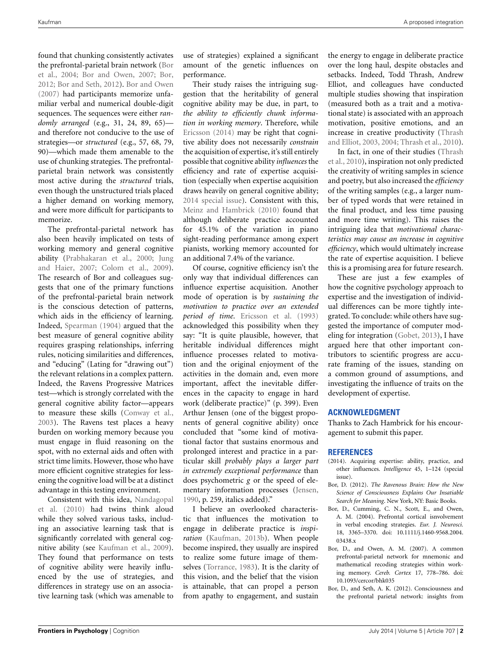found that chunking consistently activates the p[refrontal-parietal](#page-1-0) [brain](#page-1-0) [network](#page-1-0) [\(](#page-1-0)Bor et al., [2004;](#page-1-0) [Bor and Owen, 2007;](#page-1-1) [Bor,](#page-1-2) [2012](#page-1-2); [Bor and Seth](#page-1-3), [2012](#page-1-3)). [Bor and Owen](#page-1-1) [\(2007\)](#page-1-1) had participants memorize unfamiliar verbal and numerical double-digit sequences. The sequences were either *randomly arranged* (e.g., 31, 24, 89, 65) and therefore not conducive to the use of strategies—or *structured* (e.g., 57, 68, 79, 90)—which made them amenable to the use of chunking strategies. The prefrontalparietal brain network was consistently most active during the *structured* trials, even though the unstructured trials placed a higher demand on working memory, and were more difficult for participants to memorize.

The prefrontal-parietal network has also been heavily implicated on tests of working memory and general cognitive ability [\(Prabhakaran et al.](#page-2-20)[,](#page-2-21) [2000](#page-2-20)[;](#page-2-21) Jung and Haier, [2007;](#page-2-21) [Colom et al., 2009](#page-2-22)). The research of Bor and colleagues suggests that one of the primary functions of the prefrontal-parietal brain network is the conscious detection of patterns, which aids in the efficiency of learning. Indeed, [Spearman](#page-2-23) [\(1904](#page-2-23)) argued that the best measure of general cognitive ability requires grasping relationships, inferring rules, noticing similarities and differences, and "educing" (Lating for "drawing out") the relevant relations in a complex pattern. Indeed, the Ravens Progressive Matrices test—which is strongly correlated with the general cognitive ability factor—appears to measure these skills [\(Conway et al.,](#page-2-24) [2003](#page-2-24)). The Ravens test places a heavy burden on working memory because you must engage in fluid reasoning on the spot, with no external aids and often with strict time limits. However, those who have more efficient cognitive strategies for lessening the cognitive load will be at a distinct advantage in this testing environment.

Co[nsistent with this idea,](#page-2-25) Nandagopal et al. [\(2010\)](#page-2-25) had twins think aloud while they solved various tasks, including an associative learning task that is significantly correlated with general cognitive ability (see [Kaufman et al., 2009](#page-2-26)). They found that performance on tests of cognitive ability were heavily influenced by the use of strategies, and differences in strategy use on an associative learning task (which was amenable to use of strategies) explained a significant amount of the genetic influences on performance.

Their study raises the intriguing suggestion that the heritability of general cognitive ability may be due, in part, to *the ability to efficiently chunk information in working memory*. Therefore, while [Ericsson](#page-2-2) [\(2014](#page-2-2)) may be right that cognitive ability does not necessarily *constrain* the acquisition of expertise, it's still entirely possible that cognitive ability *influences* the efficiency and rate of expertise acquisition (especially when expertise acquisition draws heavily on general cognitive ability; [2014 special issue\)](#page-1-4). Consistent with this, [Meinz and Hambrick](#page-2-27) [\(2010\)](#page-2-27) found that although deliberate practice accounted for 45.1% of the variation in piano sight-reading performance among expert pianists, working memory accounted for an additional 7.4% of the variance.

Of course, cognitive efficiency isn't the only way that individual differences can influence expertise acquisition. Another mode of operation is by *sustaining the motivation to practice over an extended period of time*. [Ericsson et al.](#page-2-28) [\(1993](#page-2-28)) acknowledged this possibility when they say: "It is quite plausible, however, that heritable individual differences might influence processes related to motivation and the original enjoyment of the activities in the domain and, even more important, affect the inevitable differences in the capacity to engage in hard work (deliberate practice)" (p. 399). Even Arthur Jensen (one of the biggest proponents of general cognitive ability) once concluded that "some kind of motivational factor that sustains enormous and prolonged interest and practice in a particular skill *probably plays a larger part in extremely exceptional performance* than does psychometric *g* or the speed of elementary information processes [\(Jensen](#page-2-29), [1990](#page-2-29), p. 259, italics added)."

I believe an overlooked characteristic that influences the motivation to engage in deliberate practice is *inspiration* [\(Kaufman](#page-2-5), [2013b\)](#page-2-5). When people become inspired, they usually are inspired to realize some future image of themselves [\(Torrance, 1983](#page-2-30)). It is the clarity of this vision, and the belief that the vision is attainable, that can propel a person from apathy to engagement, and sustain the energy to engage in deliberate practice over the long haul, despite obstacles and setbacks. Indeed, Todd Thrash, Andrew Elliot, and colleagues have conducted multiple studies showing that inspiration (measured both as a trait and a motivational state) is associated with an approach motivation, positive emotions, and an increase [in creative productivity \(](#page-2-31)Thrash and Elliot, [2003](#page-2-31), [2004;](#page-2-32) [Thrash et al.](#page-2-33), [2010\)](#page-2-33).

I[n fact, in one of their studies \(](#page-2-33)Thrash et al., [2010](#page-2-33)), inspiration not only predicted the creativity of writing samples in science and poetry, but also increased the *efficiency* of the writing samples (e.g., a larger number of typed words that were retained in the final product, and less time pausing and more time writing). This raises the intriguing idea that *motivational characteristics may cause an increase in cognitive efficiency*, which would ultimately increase the rate of expertise acquisition. I believe this is a promising area for future research.

These are just a few examples of how the cognitive psychology approach to expertise and the investigation of individual differences can be more tightly integrated. To conclude: while others have suggested the importance of computer modeling for integration [\(Gobet](#page-2-3), [2013\)](#page-2-3), I have argued here that other important contributors to scientific progress are accurate framing of the issues, standing on a common ground of assumptions, and investigating the influence of traits on the development of expertise.

## **ACKNOWLEDGMENT**

Thanks to Zach Hambrick for his encouragement to submit this paper.

## **REFERENCES**

- <span id="page-1-4"></span>(2014). Acquiring expertise: ability, practice, and other influences. *Intelligence* 45, 1–124 (special issue).
- <span id="page-1-2"></span>Bor, D. (2012). *The Ravenous Brain: How the New Science of Consciousness Explains Our Insatiable Search for Meaning*. New York, NY: Basic Books.
- <span id="page-1-0"></span>Bor, D., Cumming, C. N., Scott, E., and Owen, A. M. (2004). Prefrontal cortical isnvolvement in verbal encoding strategies. *Eur. J. Neurosci.* 18, 3365–3370. doi: 10.1111/j.1460-9568.2004. 03438.x
- <span id="page-1-1"></span>Bor, D., and Owen, A. M. (2007). A common prefrontal-parietal network for mnemonic and mathematical recoding strategies within working memory. *Cereb. Cortex* 17, 778–786. doi: 10.1093/cercor/bhk035
- <span id="page-1-3"></span>Bor, D., and Seth, A. K. (2012). Consciousness and the prefrontal parietal network: insights from